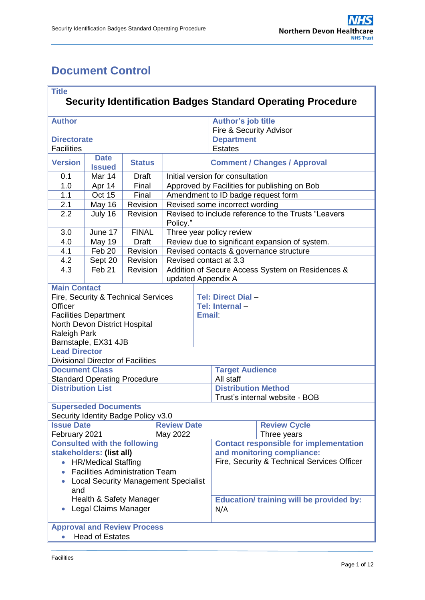# <span id="page-0-0"></span>**Document Control**

'n

| <b>Title</b><br><b>Security Identification Badges Standard Operating Procedure</b> |                                          |                                     |                                                                        |                                                        |                                                                           |             |  |
|------------------------------------------------------------------------------------|------------------------------------------|-------------------------------------|------------------------------------------------------------------------|--------------------------------------------------------|---------------------------------------------------------------------------|-------------|--|
|                                                                                    |                                          |                                     |                                                                        |                                                        |                                                                           |             |  |
| <b>Author</b>                                                                      |                                          |                                     |                                                                        |                                                        | <b>Author's job title</b><br>Fire & Security Advisor                      |             |  |
| <b>Directorate</b>                                                                 |                                          |                                     |                                                                        |                                                        | <b>Department</b>                                                         |             |  |
| <b>Facilities</b>                                                                  |                                          |                                     |                                                                        |                                                        | <b>Estates</b>                                                            |             |  |
| <b>Version</b>                                                                     | <b>Date</b><br><b>Issued</b>             | <b>Status</b>                       | <b>Comment / Changes / Approval</b>                                    |                                                        |                                                                           |             |  |
| 0.1                                                                                | Mar 14                                   | <b>Draft</b>                        | Initial version for consultation                                       |                                                        |                                                                           |             |  |
| 1.0                                                                                | Apr 14                                   | Final                               | Approved by Facilities for publishing on Bob                           |                                                        |                                                                           |             |  |
| 1.1                                                                                | Oct 15                                   | Final                               | Amendment to ID badge request form                                     |                                                        |                                                                           |             |  |
| 2.1                                                                                | May 16                                   | Revision                            | Revised some incorrect wording                                         |                                                        |                                                                           |             |  |
| 2.2                                                                                | July 16                                  | Revision                            | Revised to include reference to the Trusts "Leavers<br>Policy."        |                                                        |                                                                           |             |  |
| 3.0                                                                                | June 17                                  | <b>FINAL</b>                        | Three year policy review                                               |                                                        |                                                                           |             |  |
| 4.0                                                                                | <b>May 19</b>                            | <b>Draft</b>                        | Review due to significant expansion of system.                         |                                                        |                                                                           |             |  |
| 4.1                                                                                | Feb 20                                   | Revision                            |                                                                        | Revised contacts & governance structure                |                                                                           |             |  |
| 4.2                                                                                | Sept 20                                  | Revision                            | Revised contact at 3.3                                                 |                                                        |                                                                           |             |  |
| 4.3                                                                                | Feb 21                                   | Revision                            | Addition of Secure Access System on Residences &<br>updated Appendix A |                                                        |                                                                           |             |  |
| <b>Main Contact</b>                                                                |                                          |                                     |                                                                        |                                                        |                                                                           |             |  |
|                                                                                    |                                          | Fire, Security & Technical Services |                                                                        |                                                        | <b>Tel: Direct Dial -</b>                                                 |             |  |
| Officer                                                                            |                                          |                                     |                                                                        |                                                        | Tel: Internal-                                                            |             |  |
|                                                                                    | <b>Facilities Department</b>             |                                     |                                                                        | <b>Email:</b>                                          |                                                                           |             |  |
|                                                                                    | North Devon District Hospital            |                                     |                                                                        |                                                        |                                                                           |             |  |
| <b>Raleigh Park</b><br>Barnstaple, EX31 4JB                                        |                                          |                                     |                                                                        |                                                        |                                                                           |             |  |
| <b>Lead Director</b>                                                               |                                          |                                     |                                                                        |                                                        |                                                                           |             |  |
|                                                                                    | <b>Divisional Director of Facilities</b> |                                     |                                                                        |                                                        |                                                                           |             |  |
| <b>Document Class</b>                                                              |                                          |                                     |                                                                        |                                                        | <b>Target Audience</b>                                                    |             |  |
| <b>Standard Operating Procedure</b>                                                |                                          |                                     |                                                                        |                                                        | All staff                                                                 |             |  |
| <b>Distribution List</b>                                                           |                                          |                                     |                                                                        |                                                        | <b>Distribution Method</b>                                                |             |  |
|                                                                                    |                                          |                                     |                                                                        |                                                        | Trust's internal website - BOB                                            |             |  |
|                                                                                    | <b>Superseded Documents</b>              |                                     |                                                                        |                                                        |                                                                           |             |  |
|                                                                                    |                                          | Security Identity Badge Policy v3.0 |                                                                        |                                                        |                                                                           |             |  |
| <b>Review Date</b><br><b>Issue Date</b>                                            |                                          |                                     |                                                                        |                                                        | <b>Review Cycle</b>                                                       |             |  |
| February 2021<br><b>Consulted with the following</b>                               |                                          |                                     | May 2022                                                               |                                                        |                                                                           | Three years |  |
|                                                                                    |                                          |                                     |                                                                        |                                                        | <b>Contact responsible for implementation</b>                             |             |  |
|                                                                                    | stakeholders: (list all)                 |                                     |                                                                        |                                                        | and monitoring compliance:<br>Fire, Security & Technical Services Officer |             |  |
| <b>HR/Medical Staffing</b><br>$\bullet$                                            |                                          |                                     |                                                                        |                                                        |                                                                           |             |  |
| <b>Facilities Administration Team</b>                                              |                                          |                                     |                                                                        |                                                        |                                                                           |             |  |
| <b>Local Security Management Specialist</b>                                        |                                          |                                     |                                                                        |                                                        |                                                                           |             |  |
| and<br>Health & Safety Manager                                                     |                                          |                                     |                                                                        |                                                        |                                                                           |             |  |
| Legal Claims Manager                                                               |                                          |                                     |                                                                        | <b>Education/ training will be provided by:</b><br>N/A |                                                                           |             |  |
|                                                                                    |                                          |                                     |                                                                        |                                                        |                                                                           |             |  |
| <b>Approval and Review Process</b>                                                 |                                          |                                     |                                                                        |                                                        |                                                                           |             |  |
| <b>Head of Estates</b>                                                             |                                          |                                     |                                                                        |                                                        |                                                                           |             |  |
|                                                                                    |                                          |                                     |                                                                        |                                                        |                                                                           |             |  |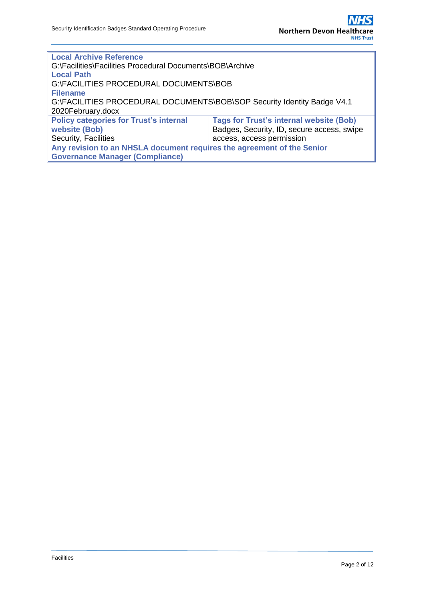| <b>Local Archive Reference</b>                                          |                                                |  |  |
|-------------------------------------------------------------------------|------------------------------------------------|--|--|
| G:\Facilities\Facilities Procedural Documents\BOB\Archive               |                                                |  |  |
| <b>Local Path</b>                                                       |                                                |  |  |
| G:\FACILITIES PROCEDURAL DOCUMENTS\BOB                                  |                                                |  |  |
| <b>Filename</b>                                                         |                                                |  |  |
| G:\FACILITIES PROCEDURAL DOCUMENTS\BOB\SOP Security Identity Badge V4.1 |                                                |  |  |
| 2020February.docx                                                       |                                                |  |  |
| <b>Policy categories for Trust's internal</b>                           | <b>Tags for Trust's internal website (Bob)</b> |  |  |
| website (Bob)                                                           | Badges, Security, ID, secure access, swipe     |  |  |
| Security, Facilities                                                    | access, access permission                      |  |  |
| Any revision to an NHSLA document requires the agreement of the Senior  |                                                |  |  |
| <b>Governance Manager (Compliance)</b>                                  |                                                |  |  |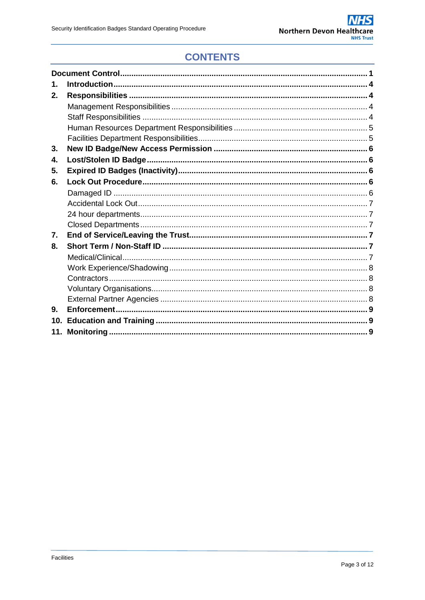# **CONTENTS**

| 1.  |  |
|-----|--|
| 2.  |  |
|     |  |
|     |  |
|     |  |
|     |  |
| 3.  |  |
| 4.  |  |
| 5.  |  |
| 6.  |  |
|     |  |
|     |  |
|     |  |
|     |  |
| 7.  |  |
| 8.  |  |
|     |  |
|     |  |
|     |  |
|     |  |
|     |  |
| 9.  |  |
| 10. |  |
|     |  |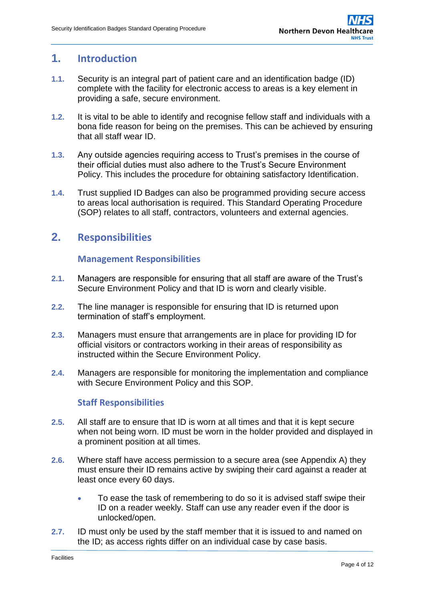# <span id="page-3-0"></span>**1. Introduction**

- **1.1.** Security is an integral part of patient care and an identification badge (ID) complete with the facility for electronic access to areas is a key element in providing a safe, secure environment.
- **1.2.** It is vital to be able to identify and recognise fellow staff and individuals with a bona fide reason for being on the premises. This can be achieved by ensuring that all staff wear ID.
- **1.3.** Any outside agencies requiring access to Trust's premises in the course of their official duties must also adhere to the Trust's Secure Environment Policy. This includes the procedure for obtaining satisfactory Identification.
- **1.4.** Trust supplied ID Badges can also be programmed providing secure access to areas local authorisation is required. This Standard Operating Procedure (SOP) relates to all staff, contractors, volunteers and external agencies.

# <span id="page-3-2"></span><span id="page-3-1"></span>**2. Responsibilities**

### **Management Responsibilities**

- **2.1.** Managers are responsible for ensuring that all staff are aware of the Trust's Secure Environment Policy and that ID is worn and clearly visible.
- **2.2.** The line manager is responsible for ensuring that ID is returned upon termination of staff's employment.
- **2.3.** Managers must ensure that arrangements are in place for providing ID for official visitors or contractors working in their areas of responsibility as instructed within the Secure Environment Policy.
- **2.4.** Managers are responsible for monitoring the implementation and compliance with Secure Environment Policy and this SOP.

### <span id="page-3-4"></span>**Staff Responsibilities**

- <span id="page-3-3"></span>**2.5.** All staff are to ensure that ID is worn at all times and that it is kept secure when not being worn. ID must be worn in the holder provided and displayed in a prominent position at all times.
- <span id="page-3-5"></span>**2.6.** Where staff have access permission to a secure area (see Appendix A) they must ensure their ID remains active by swiping their card against a reader at least once every 60 days.
	- To ease the task of remembering to do so it is advised staff swipe their ID on a reader weekly. Staff can use any reader even if the door is unlocked/open.
- **2.7.** ID must only be used by the staff member that it is issued to and named on the ID; as access rights differ on an individual case by case basis.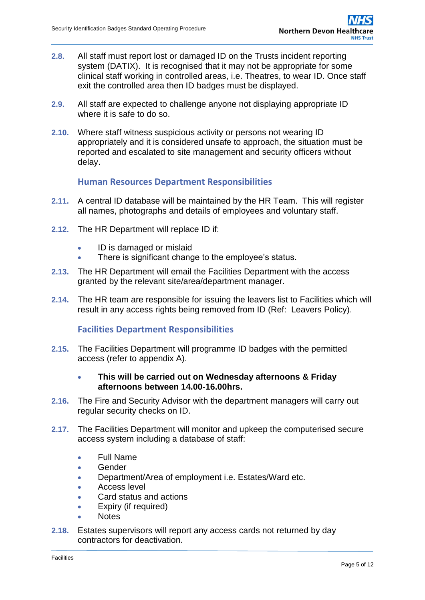- **2.8.** All staff must report lost or damaged ID on the Trusts incident reporting system (DATIX). It is recognised that it may not be appropriate for some clinical staff working in controlled areas, i.e. Theatres, to wear ID. Once staff exit the controlled area then ID badges must be displayed.
- **2.9.** All staff are expected to challenge anyone not displaying appropriate ID where it is safe to do so.
- <span id="page-4-2"></span>**2.10.** Where staff witness suspicious activity or persons not wearing ID appropriately and it is considered unsafe to approach, the situation must be reported and escalated to site management and security officers without delay.

### **Human Resources Department Responsibilities**

- <span id="page-4-0"></span>**2.11.** A central ID database will be maintained by the HR Team. This will register all names, photographs and details of employees and voluntary staff.
- **2.12.** The HR Department will replace ID if:
	- ID is damaged or mislaid
	- There is significant change to the employee's status.
- **2.13.** The HR Department will email the Facilities Department with the access granted by the relevant site/area/department manager.
- **2.14.** The HR team are responsible for issuing the leavers list to Facilities which will result in any access rights being removed from ID (Ref: Leavers Policy).

### **Facilities Department Responsibilities**

<span id="page-4-1"></span>**2.15.** The Facilities Department will programme ID badges with the permitted access (refer to appendix A).

#### **This will be carried out on Wednesday afternoons & Friday afternoons between 14.00-16.00hrs.**

- **2.16.** The Fire and Security Advisor with the department managers will carry out regular security checks on ID.
- **2.17.** The Facilities Department will monitor and upkeep the computerised secure access system including a database of staff:
	- Full Name
	- **Gender**
	- Department/Area of employment i.e. Estates/Ward etc.
	- **Access level**
	- Card status and actions
	- Expiry (if required)
	- **Notes**
- **2.18.** Estates supervisors will report any access cards not returned by day contractors for deactivation.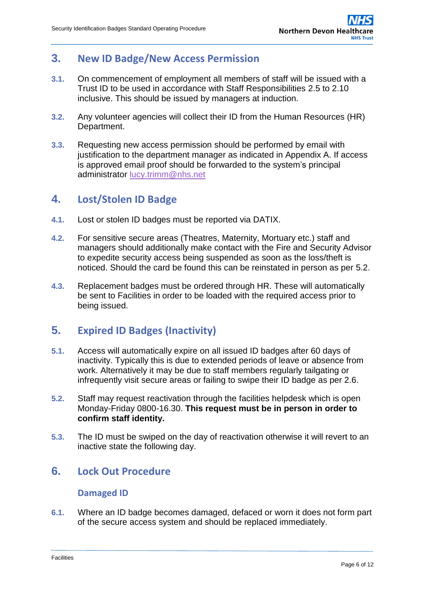# <span id="page-5-0"></span>**3. New ID Badge/New Access Permission**

- **3.1.** On commencement of employment all members of staff will be issued with a Trust ID to be used in accordance with Staff Responsibilities [2.5](#page-3-4) to [2.10](#page-4-2) inclusive. This should be issued by managers at induction.
- **3.2.** Any volunteer agencies will collect their ID from the Human Resources (HR) Department.
- **3.3.** Requesting new access permission should be performed by email with justification to the department manager as indicated in Appendix A. If access is approved email proof should be forwarded to the system's principal administrator [lucy.trimm@nhs.net](mailto:lucy.trimm@nhs.net)

# <span id="page-5-1"></span>**4. Lost/Stolen ID Badge**

- **4.1.** Lost or stolen ID badges must be reported via DATIX.
- **4.2.** For sensitive secure areas (Theatres, Maternity, Mortuary etc.) staff and managers should additionally make contact with the Fire and Security Advisor to expedite security access being suspended as soon as the loss/theft is noticed. Should the card be found this can be reinstated in person as per [5.2.](#page-5-5)
- **4.3.** Replacement badges must be ordered through HR. These will automatically be sent to Facilities in order to be loaded with the required access prior to being issued.

# <span id="page-5-2"></span>**5. Expired ID Badges (Inactivity)**

- **5.1.** Access will automatically expire on all issued ID badges after 60 days of inactivity. Typically this is due to extended periods of leave or absence from work. Alternatively it may be due to staff members regularly tailgating or infrequently visit secure areas or failing to swipe their ID badge as per [2.6.](#page-3-5)
- <span id="page-5-5"></span>**5.2.** Staff may request reactivation through the facilities helpdesk which is open Monday-Friday 0800-16.30. **This request must be in person in order to confirm staff identity.**
- **5.3.** The ID must be swiped on the day of reactivation otherwise it will revert to an inactive state the following day.

# <span id="page-5-4"></span><span id="page-5-3"></span>**6. Lock Out Procedure**

### **Damaged ID**

**6.1.** Where an ID badge becomes damaged, defaced or worn it does not form part of the secure access system and should be replaced immediately.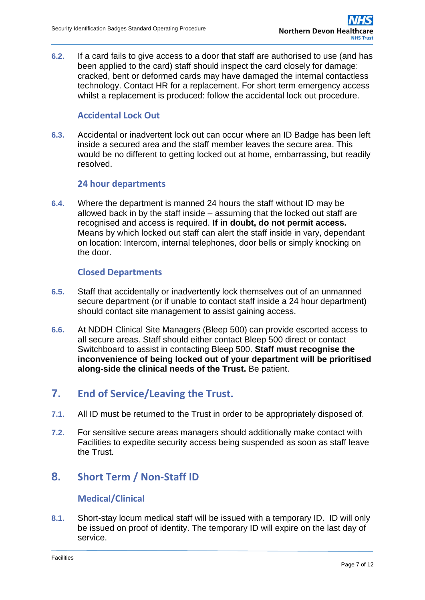**6.2.** If a card fails to give access to a door that staff are authorised to use (and has been applied to the card) staff should inspect the card closely for damage: cracked, bent or deformed cards may have damaged the internal contactless technology. Contact HR for a replacement. For short term emergency access whilst a replacement is produced: follow the accidental lock out procedure.

### **Accidental Lock Out**

<span id="page-6-0"></span>**6.3.** Accidental or inadvertent lock out can occur where an ID Badge has been left inside a secured area and the staff member leaves the secure area. This would be no different to getting locked out at home, embarrassing, but readily resolved.

### **24 hour departments**

<span id="page-6-1"></span>**6.4.** Where the department is manned 24 hours the staff without ID may be allowed back in by the staff inside – assuming that the locked out staff are recognised and access is required. **If in doubt, do not permit access.**  Means by which locked out staff can alert the staff inside in vary, dependant on location: Intercom, internal telephones, door bells or simply knocking on the door.

### **Closed Departments**

- <span id="page-6-2"></span>**6.5.** Staff that accidentally or inadvertently lock themselves out of an unmanned secure department (or if unable to contact staff inside a 24 hour department) should contact site management to assist gaining access.
- **6.6.** At NDDH Clinical Site Managers (Bleep 500) can provide escorted access to all secure areas. Staff should either contact Bleep 500 direct or contact Switchboard to assist in contacting Bleep 500. **Staff must recognise the inconvenience of being locked out of your department will be prioritised along-side the clinical needs of the Trust.** Be patient.

### <span id="page-6-3"></span>**7. End of Service/Leaving the Trust.**

- **7.1.** All ID must be returned to the Trust in order to be appropriately disposed of.
- **7.2.** For sensitive secure areas managers should additionally make contact with Facilities to expedite security access being suspended as soon as staff leave the Trust.

# <span id="page-6-5"></span><span id="page-6-4"></span>**8. Short Term / Non-Staff ID**

### **Medical/Clinical**

**8.1.** Short-stay locum medical staff will be issued with a temporary ID. ID will only be issued on proof of identity. The temporary ID will expire on the last day of service.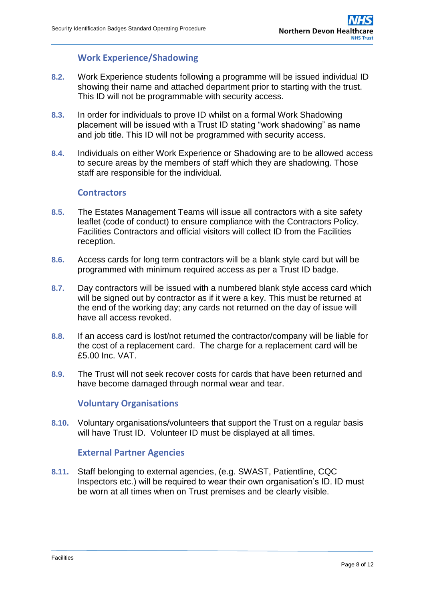### **Work Experience/Shadowing**

- <span id="page-7-0"></span>**8.2.** Work Experience students following a programme will be issued individual ID showing their name and attached department prior to starting with the trust. This ID will not be programmable with security access.
- **8.3.** In order for individuals to prove ID whilst on a formal Work Shadowing placement will be issued with a Trust ID stating "work shadowing" as name and job title. This ID will not be programmed with security access.
- **8.4.** Individuals on either Work Experience or Shadowing are to be allowed access to secure areas by the members of staff which they are shadowing. Those staff are responsible for the individual.

### **Contractors**

- <span id="page-7-1"></span>**8.5.** The Estates Management Teams will issue all contractors with a site safety leaflet (code of conduct) to ensure compliance with the Contractors Policy. Facilities Contractors and official visitors will collect ID from the Facilities reception.
- **8.6.** Access cards for long term contractors will be a blank style card but will be programmed with minimum required access as per a Trust ID badge.
- **8.7.** Day contractors will be issued with a numbered blank style access card which will be signed out by contractor as if it were a key. This must be returned at the end of the working day; any cards not returned on the day of issue will have all access revoked.
- **8.8.** If an access card is lost/not returned the contractor/company will be liable for the cost of a replacement card. The charge for a replacement card will be £5.00 Inc. VAT.
- **8.9.** The Trust will not seek recover costs for cards that have been returned and have become damaged through normal wear and tear.

### **Voluntary Organisations**

<span id="page-7-2"></span>**8.10.** Voluntary organisations/volunteers that support the Trust on a regular basis will have Trust ID. Volunteer ID must be displayed at all times.

### **External Partner Agencies**

<span id="page-7-3"></span>**8.11.** Staff belonging to external agencies, (e.g. SWAST, Patientline, CQC Inspectors etc.) will be required to wear their own organisation's ID. ID must be worn at all times when on Trust premises and be clearly visible.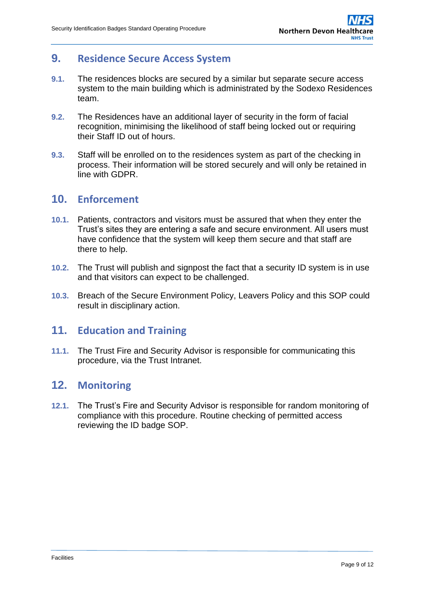# <span id="page-8-0"></span>**9. Residence Secure Access System**

- **9.1.** The residences blocks are secured by a similar but separate secure access system to the main building which is administrated by the Sodexo Residences team.
- **9.2.** The Residences have an additional layer of security in the form of facial recognition, minimising the likelihood of staff being locked out or requiring their Staff ID out of hours.
- **9.3.** Staff will be enrolled on to the residences system as part of the checking in process. Their information will be stored securely and will only be retained in line with GDPR.

# **10. Enforcement**

- **10.1.** Patients, contractors and visitors must be assured that when they enter the Trust's sites they are entering a safe and secure environment. All users must have confidence that the system will keep them secure and that staff are there to help.
- **10.2.** The Trust will publish and signpost the fact that a security ID system is in use and that visitors can expect to be challenged.
- **10.3.** Breach of the Secure Environment Policy, Leavers Policy and this SOP could result in disciplinary action.

# <span id="page-8-1"></span>**11. Education and Training**

**11.1.** The Trust Fire and Security Advisor is responsible for communicating this procedure, via the Trust Intranet.

# <span id="page-8-2"></span>**12. Monitoring**

**12.1.** The Trust's Fire and Security Advisor is responsible for random monitoring of compliance with this procedure. Routine checking of permitted access reviewing the ID badge SOP.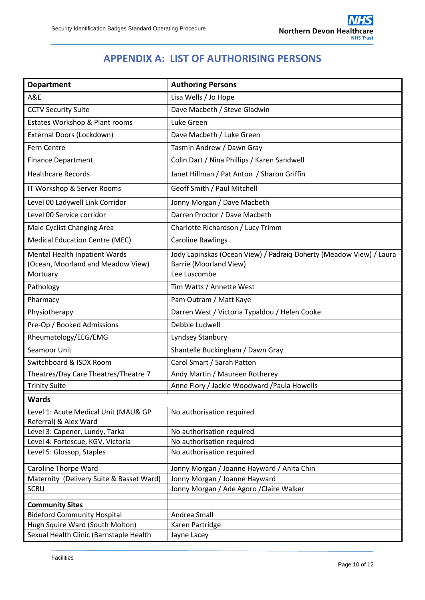# **APPENDIX A: LIST OF AUTHORISING PERSONS**

| <b>Department</b>                                             | <b>Authoring Persons</b>                                            |  |  |
|---------------------------------------------------------------|---------------------------------------------------------------------|--|--|
| A&E                                                           | Lisa Wells / Jo Hope                                                |  |  |
| <b>CCTV Security Suite</b>                                    | Dave Macbeth / Steve Gladwin                                        |  |  |
| Estates Workshop & Plant rooms                                | Luke Green                                                          |  |  |
| External Doors (Lockdown)                                     | Dave Macbeth / Luke Green                                           |  |  |
| Fern Centre                                                   | Tasmin Andrew / Dawn Gray                                           |  |  |
| <b>Finance Department</b>                                     | Colin Dart / Nina Phillips / Karen Sandwell                         |  |  |
| <b>Healthcare Records</b>                                     | Janet Hillman / Pat Anton / Sharon Griffin                          |  |  |
| IT Workshop & Server Rooms                                    | Geoff Smith / Paul Mitchell                                         |  |  |
| Level 00 Ladywell Link Corridor                               | Jonny Morgan / Dave Macbeth                                         |  |  |
| Level 00 Service corridor                                     | Darren Proctor / Dave Macbeth                                       |  |  |
| Male Cyclist Changing Area                                    | Charlotte Richardson / Lucy Trimm                                   |  |  |
| <b>Medical Education Centre (MEC)</b>                         | <b>Caroline Rawlings</b>                                            |  |  |
| Mental Health Inpatient Wards                                 | Jody Lapinskas (Ocean View) / Padraig Doherty (Meadow View) / Laura |  |  |
| (Ocean, Moorland and Meadow View)                             | <b>Barrie (Moorland View)</b>                                       |  |  |
| Mortuary                                                      | Lee Luscombe                                                        |  |  |
| Pathology                                                     | Tim Watts / Annette West                                            |  |  |
| Pharmacy                                                      | Pam Outram / Matt Kaye                                              |  |  |
| Physiotherapy                                                 | Darren West / Victoria Typaldou / Helen Cooke                       |  |  |
| Pre-Op / Booked Admissions                                    | Debbie Ludwell                                                      |  |  |
| Rheumatology/EEG/EMG                                          | Lyndsey Stanbury                                                    |  |  |
| Seamoor Unit                                                  | Shantelle Buckingham / Dawn Gray                                    |  |  |
| Switchboard & ISDX Room                                       | Carol Smart / Sarah Patton                                          |  |  |
| Theatres/Day Care Theatres/Theatre 7                          | Andy Martin / Maureen Rotherey                                      |  |  |
| <b>Trinity Suite</b>                                          | Anne Flory / Jackie Woodward / Paula Howells                        |  |  |
| <b>Wards</b>                                                  |                                                                     |  |  |
| Level 1: Acute Medical Unit (MAU& GP<br>Referral) & Alex Ward | No authorisation required                                           |  |  |
| Level 3: Capener, Lundy, Tarka                                | No authorisation required                                           |  |  |
| Level 4: Fortescue, KGV, Victoria                             | No authorisation required                                           |  |  |
| Level 5: Glossop, Staples                                     | No authorisation required                                           |  |  |
| Caroline Thorpe Ward                                          | Jonny Morgan / Joanne Hayward / Anita Chin                          |  |  |
| Maternity (Delivery Suite & Basset Ward)                      | Jonny Morgan / Joanne Hayward                                       |  |  |
| <b>SCBU</b>                                                   | Jonny Morgan / Ade Agoro / Claire Walker                            |  |  |
| <b>Community Sites</b>                                        |                                                                     |  |  |
| <b>Bideford Community Hospital</b>                            | Andrea Small                                                        |  |  |
| Hugh Squire Ward (South Molton)                               | Karen Partridge                                                     |  |  |
| Sexual Health Clinic (Barnstaple Health                       | Jayne Lacey                                                         |  |  |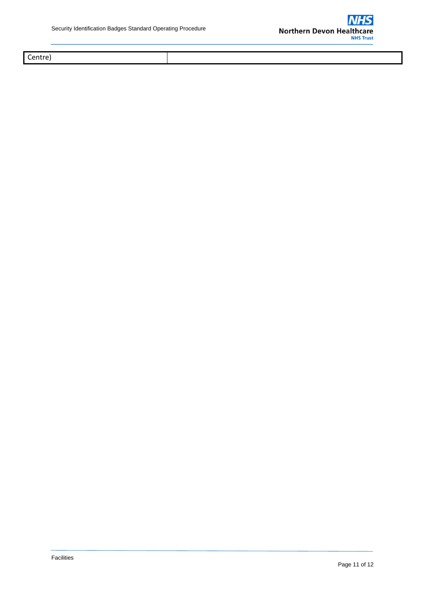Centre)